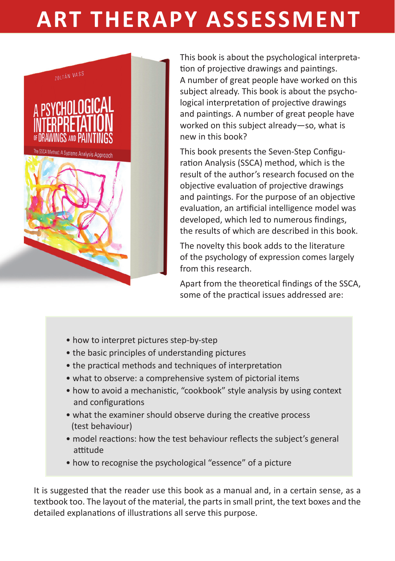## **ART THERAPY ASSESSMENT**



This book is about the psychological interpretation of projective drawings and paintings. A number of great people have worked on this subject already. This book is about the psychological interpretation of projective drawings and paintings. A number of great people have worked on this subject already—so, what is new in this book?

This book presents the Seven-Step Configuration Analysis (SSCA) method, which is the result of the author's research focused on the objective evaluation of projective drawings and paintings. For the purpose of an objective evaluation, an artificial intelligence model was developed, which led to numerous findings, the results of which are described in this book.

The novelty this book adds to the literature of the psychology of expression comes largely from this research.

Apart from the theoretical findings of the SSCA, some of the practical issues addressed are:

- how to interpret pictures step-by-step
- the basic principles of understanding pictures
- the practical methods and techniques of interpretation
- what to observe: a comprehensive system of pictorial items
- how to avoid a mechanistic. "cookbook" style analysis by using context and configurations
- what the examiner should observe during the creative process (test behaviour)
- model reactions: how the test behaviour reflects the subject's general attitude
- how to recognise the psychological "essence" of a picture

It is suggested that the reader use this book as a manual and, in a certain sense, as a textbook too. The layout of the material, the parts in small print, the text boxes and the detailed explanations of illustrations all serve this purpose.